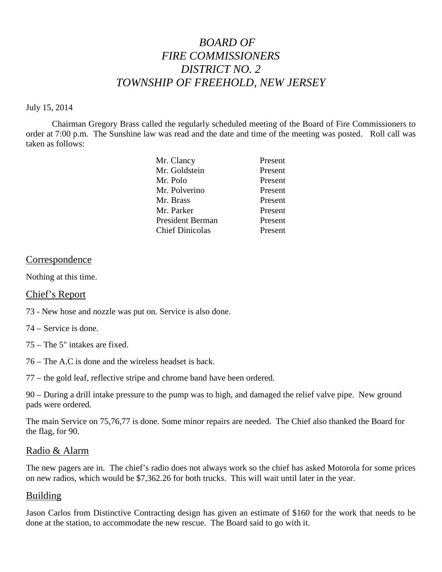# *BOARD OF FIRE COMMISSIONERS DISTRICT NO. 2 TOWNSHIP OF FREEHOLD, NEW JERSEY*

#### July 15, 2014

Chairman Gregory Brass called the regularly scheduled meeting of the Board of Fire Commissioners to order at 7:00 p.m. The Sunshine law was read and the date and time of the meeting was posted. Roll call was taken as follows:

| Present |
|---------|
| Present |
| Present |
| Present |
| Present |
| Present |
| Present |
| Present |
|         |

## Correspondence

Nothing at this time.

#### Chief's Report

- 73 New hose and nozzle was put on. Service is also done.
- 74 Service is done.
- 75 The 5" intakes are fixed.
- 76 The A.C is done and the wireless headset is back.
- 77 the gold leaf, reflective stripe and chrome band have been ordered.

90 – During a drill intake pressure to the pump was to high, and damaged the relief valve pipe. New ground pads were ordered.

The main Service on 75,76,77 is done. Some minor repairs are needed. The Chief also thanked the Board for the flag, for 90.

#### Radio & Alarm

The new pagers are in. The chief's radio does not always work so the chief has asked Motorola for some prices on new radios, which would be \$7,362.26 for both trucks. This will wait until later in the year.

# Building

Jason Carlos from Distinctive Contracting design has given an estimate of \$160 for the work that needs to be done at the station, to accommodate the new rescue. The Board said to go with it.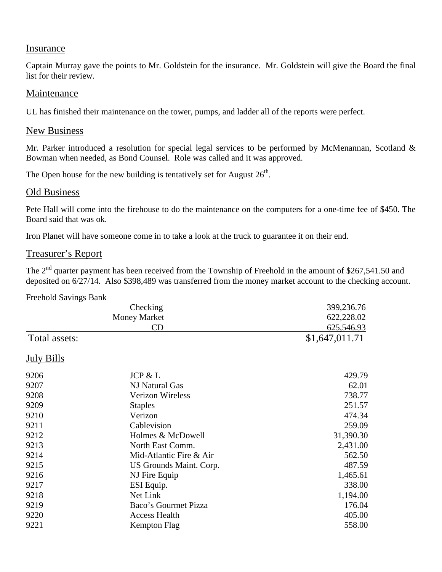#### **Insurance**

Captain Murray gave the points to Mr. Goldstein for the insurance. Mr. Goldstein will give the Board the final list for their review.

## Maintenance

UL has finished their maintenance on the tower, pumps, and ladder all of the reports were perfect.

## New Business

Mr. Parker introduced a resolution for special legal services to be performed by McMenannan, Scotland & Bowman when needed, as Bond Counsel. Role was called and it was approved.

The Open house for the new building is tentatively set for August  $26<sup>th</sup>$ .

## Old Business

Pete Hall will come into the firehouse to do the maintenance on the computers for a one-time fee of \$450. The Board said that was ok.

Iron Planet will have someone come in to take a look at the truck to guarantee it on their end.

## Treasurer's Report

The  $2<sup>nd</sup>$  quarter payment has been received from the Township of Freehold in the amount of \$267,541.50 and deposited on 6/27/14. Also \$398,489 was transferred from the money market account to the checking account.

#### Freehold Savings Bank

|                   | Checking                | 399,236.76     |
|-------------------|-------------------------|----------------|
|                   | <b>Money Market</b>     | 622,228.02     |
|                   | CD                      | 625,546.93     |
| Total assets:     |                         | \$1,647,011.71 |
| <b>July Bills</b> |                         |                |
| 9206              | JCP & L                 | 429.79         |
| 9207              | NJ Natural Gas          | 62.01          |
| 9208              | <b>Verizon Wireless</b> | 738.77         |
| 9209              | <b>Staples</b>          | 251.57         |
| 9210              | Verizon                 | 474.34         |
| 9211              | Cablevision             | 259.09         |
| 9212              | Holmes & McDowell       | 31,390.30      |
| 9213              | North East Comm.        | 2,431.00       |
| 9214              | Mid-Atlantic Fire & Air | 562.50         |
| 9215              | US Grounds Maint. Corp. | 487.59         |
| 9216              | NJ Fire Equip           | 1,465.61       |
| 9217              | ESI Equip.              | 338.00         |
| 9218              | Net Link                | 1,194.00       |
| 9219              | Baco's Gourmet Pizza    | 176.04         |
| 9220              | <b>Access Health</b>    | 405.00         |
| 9221              | Kempton Flag            | 558.00         |